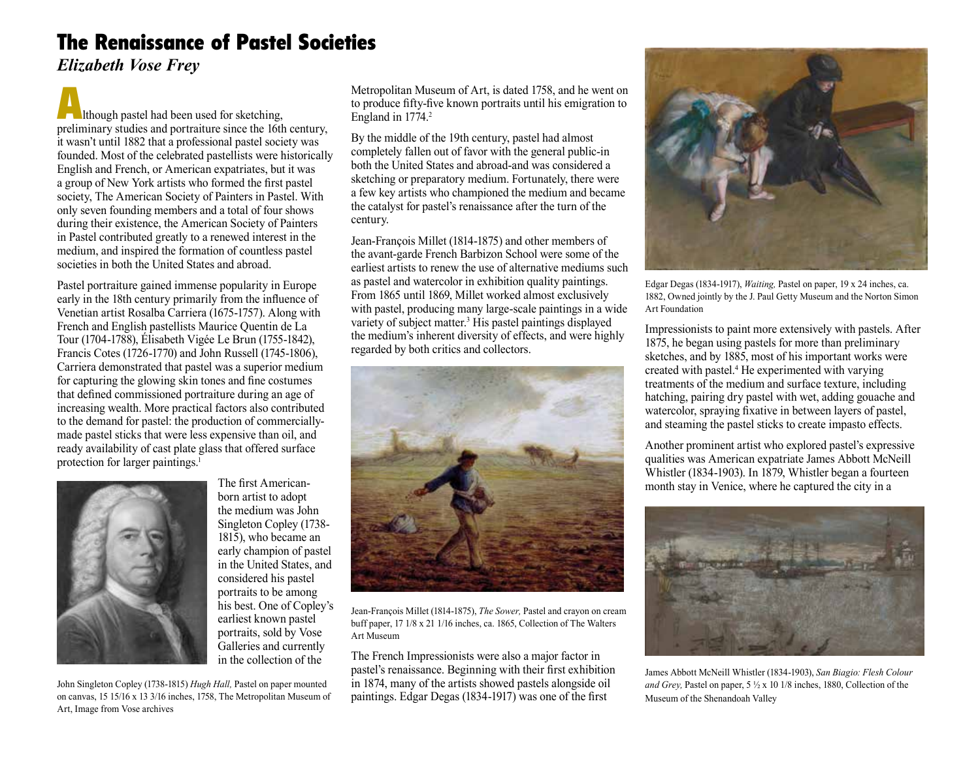## The Renaissance of Pastel Societies

*Elizabeth Vose Frey*

**Although pastel had been used for sketching,** preliminary studies and portraiture since the 16th century, it wasn't until 1882 that a professional pastel society was founded. Most of the celebrated pastellists were historically English and French, or American expatriates, but it was a group of New York artists who formed the first pastel society, The American Society of Painters in Pastel. With only seven founding members and a total of four shows during their existence, the American Society of Painters in Pastel contributed greatly to a renewed interest in the medium, and inspired the formation of countless pastel societies in both the United States and abroad.

Pastel portraiture gained immense popularity in Europe early in the 18th century primarily from the influence of Venetian artist Rosalba Carriera (1675-1757). Along with French and English pastellists Maurice Quentin de La Tour (1704-1788), Élisabeth Vigée Le Brun (1755-1842), Francis Cotes (1726-1770) and John Russell (1745-1806), Carriera demonstrated that pastel was a superior medium for capturing the glowing skin tones and fine costumes that defined commissioned portraiture during an age of increasing wealth. More practical factors also contributed to the demand for pastel: the production of commerciallymade pastel sticks that were less expensive than oil, and ready availability of cast plate glass that offered surface protection for larger paintings.<sup>1</sup>



The first Americanborn artist to adopt the medium was John Singleton Copley (1738- 1815), who became an early champion of pastel in the United States, and considered his pastel portraits to be among his best. One of Copley's earliest known pastel portraits, sold by Vose Galleries and currently in the collection of the

John Singleton Copley (1738-1815) *Hugh Hall,* Pastel on paper mounted on canvas, 15 15/16 x 13 3/16 inches, 1758, The Metropolitan Museum of Art, Image from Vose archives

Metropolitan Museum of Art, is dated 1758, and he went on to produce fifty-five known portraits until his emigration to England in 1774.<sup>2</sup>

By the middle of the 19th century, pastel had almost completely fallen out of favor with the general public-in both the United States and abroad-and was considered a sketching or preparatory medium. Fortunately, there were a few key artists who championed the medium and became the catalyst for pastel's renaissance after the turn of the century.

Jean-François Millet (1814-1875) and other members of the avant-garde French Barbizon School were some of the earliest artists to renew the use of alternative mediums such as pastel and watercolor in exhibition quality paintings. From 1865 until 1869, Millet worked almost exclusively with pastel, producing many large-scale paintings in a wide variety of subject matter.<sup>3</sup> His pastel paintings displayed the medium's inherent diversity of effects, and were highly regarded by both critics and collectors.



Jean-François Millet (1814-1875), *The Sower,* Pastel and crayon on cream buff paper, 17 1/8 x 21 1/16 inches, ca. 1865, Collection of The Walters Art Museum

The French Impressionists were also a major factor in pastel's renaissance. Beginning with their first exhibition in 1874, many of the artists showed pastels alongside oil paintings. Edgar Degas (1834-1917) was one of the first



Edgar Degas (1834-1917), *Waiting,* Pastel on paper, 19 x 24 inches, ca. 1882, Owned jointly by the J. Paul Getty Museum and the Norton Simon Art Foundation

Impressionists to paint more extensively with pastels. After 1875, he began using pastels for more than preliminary sketches, and by 1885, most of his important works were created with pastel.4 He experimented with varying treatments of the medium and surface texture, including hatching, pairing dry pastel with wet, adding gouache and watercolor, spraying fixative in between layers of pastel, and steaming the pastel sticks to create impasto effects.

Another prominent artist who explored pastel's expressive qualities was American expatriate James Abbott McNeill Whistler (1834-1903). In 1879, Whistler began a fourteen month stay in Venice, where he captured the city in a



James Abbott McNeill Whistler (1834-1903), *San Biagio: Flesh Colour and Grey,* Pastel on paper, 5 ½ x 10 1/8 inches, 1880, Collection of the Museum of the Shenandoah Valley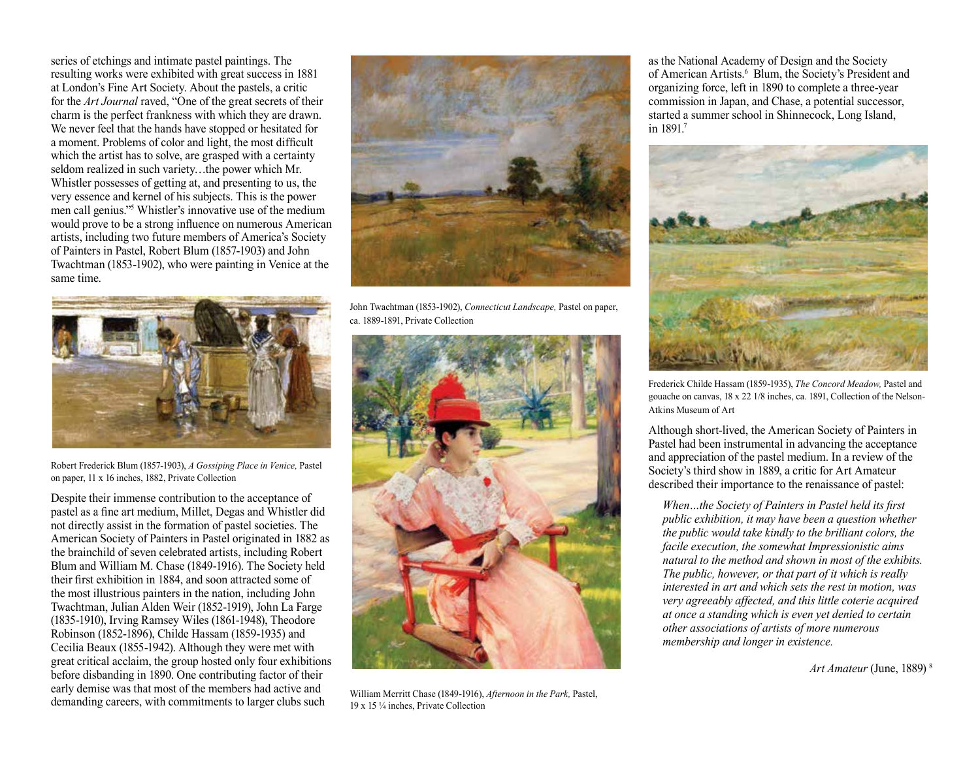series of etchings and intimate pastel paintings. The resulting works were exhibited with great success in 1881 at London's Fine Art Society. About the pastels, a critic for the *Art Journal* raved, "One of the great secrets of their charm is the perfect frankness with which they are drawn. We never feel that the hands have stopped or hesitated for a moment. Problems of color and light, the most difficult which the artist has to solve, are grasped with a certainty seldom realized in such variety…the power which Mr. Whistler possesses of getting at, and presenting to us, the very essence and kernel of his subjects. This is the power men call genius."5 Whistler's innovative use of the medium would prove to be a strong influence on numerous American artists, including two future members of America's Society of Painters in Pastel, Robert Blum (1857-1903) and John Twachtman (1853-1902), who were painting in Venice at the same time.



Robert Frederick Blum (1857-1903), *A Gossiping Place in Venice,* Pastel on paper, 11 x 16 inches, 1882, Private Collection

Despite their immense contribution to the acceptance of pastel as a fine art medium, Millet, Degas and Whistler did not directly assist in the formation of pastel societies. The American Society of Painters in Pastel originated in 1882 as the brainchild of seven celebrated artists, including Robert Blum and William M. Chase (1849-1916). The Society held their first exhibition in 1884, and soon attracted some of the most illustrious painters in the nation, including John Twachtman, Julian Alden Weir (1852-1919), John La Farge (1835-1910), Irving Ramsey Wiles (1861-1948), Theodore Robinson (1852-1896), Childe Hassam (1859-1935) and Cecilia Beaux (1855-1942). Although they were met with great critical acclaim, the group hosted only four exhibitions before disbanding in 1890. One contributing factor of their early demise was that most of the members had active and demanding careers, with commitments to larger clubs such



John Twachtman (1853-1902), *Connecticut Landscape,* Pastel on paper, ca. 1889-1891, Private Collection



William Merritt Chase (1849-1916), *Afternoon in the Park,* Pastel, 19 x 15 ¼ inches, Private Collection

as the National Academy of Design and the Society of American Artists.<sup>6</sup> Blum, the Society's President and organizing force, left in 1890 to complete a three-year commission in Japan, and Chase, a potential successor, started a summer school in Shinnecock, Long Island, in 1891<sup>7</sup>



Frederick Childe Hassam (1859-1935), *The Concord Meadow,* Pastel and gouache on canvas, 18 x 22 1/8 inches, ca. 1891, Collection of the Nelson-Atkins Museum of Art

Although short-lived, the American Society of Painters in Pastel had been instrumental in advancing the acceptance and appreciation of the pastel medium. In a review of the Society's third show in 1889, a critic for Art Amateur described their importance to the renaissance of pastel:

 *When…the Society of Painters in Pastel held its first public exhibition, it may have been a question whether the public would take kindly to the brilliant colors, the facile execution, the somewhat Impressionistic aims natural to the method and shown in most of the exhibits. The public, however, or that part of it which is really interested in art and which sets the rest in motion, was very agreeably affected, and this little coterie acquired at once a standing which is even yet denied to certain other associations of artists of more numerous membership and longer in existence.*

*Art Amateur* (June, 1889) 8